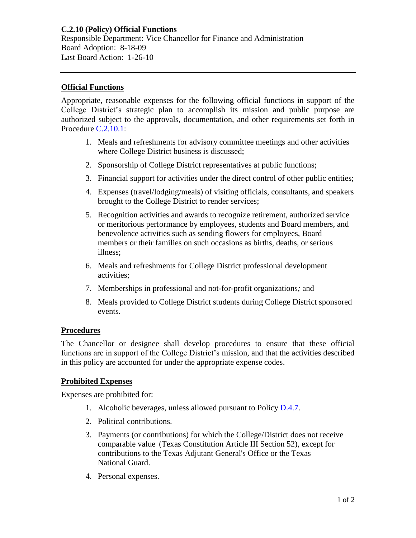## **Official Functions**

Appropriate, reasonable expenses for the following official functions in support of the College District's strategic plan to accomplish its mission and public purpose are authorized subject to the approvals, documentation, and other requirements set forth in Procedure [C.2.10.1:](https://www.alamo.edu/siteassets/district/about-us/leadership/board-of-trustees/policies-pdfs/section-c/c.2.10.1-procedure.pdf)

- 1. Meals and refreshments for advisory committee meetings and other activities where College District business is discussed;
- 2. Sponsorship of College District representatives at public functions;
- 3. Financial support for activities under the direct control of other public entities;
- 4. Expenses (travel/lodging/meals) of visiting officials, consultants, and speakers brought to the College District to render services;
- 5. Recognition activities and awards to recognize retirement, authorized service or meritorious performance by employees, students and Board members, and benevolence activities such as sending flowers for employees, Board members or their families on such occasions as births, deaths, or serious illness;
- 6. Meals and refreshments for College District professional development activities;
- 7. Memberships in professional and not-for-profit organizations*;* and
- 8. Meals provided to College District students during College District sponsored events.

## **Procedures**

The Chancellor or designee shall develop procedures to ensure that these official functions are in support of the College District's mission, and that the activities described in this policy are accounted for under the appropriate expense codes.

## **Prohibited Expenses**

Expenses are prohibited for:

- 1. Alcoholic beverages, unless allowed pursuant to Policy [D.4.7.](https://www.alamo.edu/siteassets/district/about-us/leadership/board-of-trustees/policies-pdfs/section-d/d.4.7-policy.pdf)
- 2. Political contributions.
- 3. Payments (or contributions) for which the College/District does not receive comparable value (Texas Constitution Article III Section 52), except for contributions to the Texas Adjutant General's Office or the Texas National Guard.
- 4. Personal expenses.